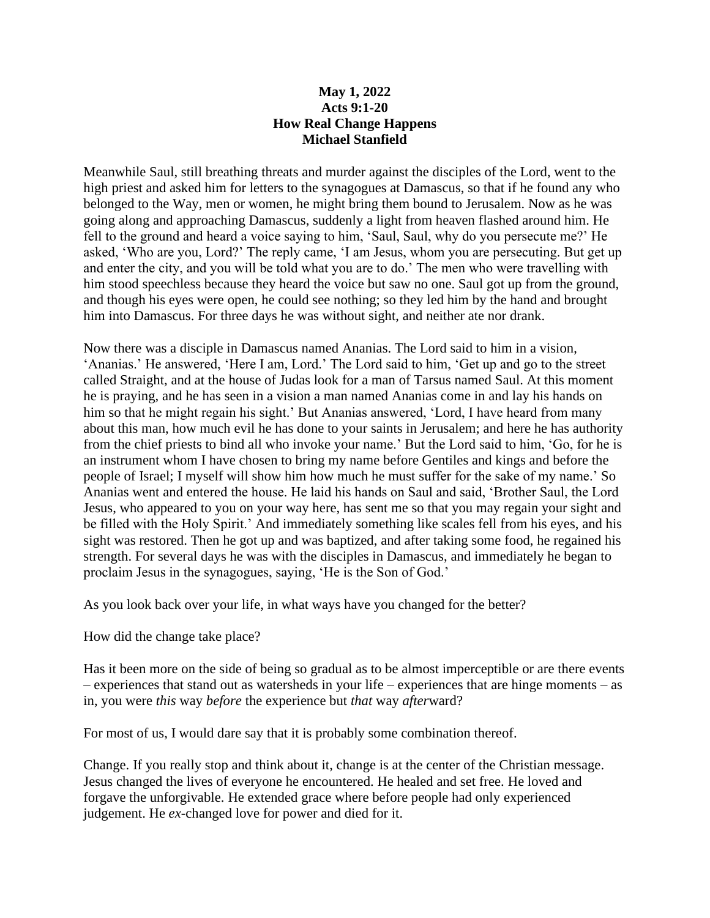## **May 1, 2022 Acts 9:1-20 How Real Change Happens Michael Stanfield**

Meanwhile Saul, still breathing threats and murder against the disciples of the Lord, went to the high priest and asked him for letters to the synagogues at Damascus, so that if he found any who belonged to the Way, men or women, he might bring them bound to Jerusalem. Now as he was going along and approaching Damascus, suddenly a light from heaven flashed around him. He fell to the ground and heard a voice saying to him, 'Saul, Saul, why do you persecute me?' He asked, 'Who are you, Lord?' The reply came, 'I am Jesus, whom you are persecuting. But get up and enter the city, and you will be told what you are to do.' The men who were travelling with him stood speechless because they heard the voice but saw no one. Saul got up from the ground, and though his eyes were open, he could see nothing; so they led him by the hand and brought him into Damascus. For three days he was without sight, and neither ate nor drank.

Now there was a disciple in Damascus named Ananias. The Lord said to him in a vision, 'Ananias.' He answered, 'Here I am, Lord.' The Lord said to him, 'Get up and go to the street called Straight, and at the house of Judas look for a man of Tarsus named Saul. At this moment he is praying, and he has seen in a vision a man named Ananias come in and lay his hands on him so that he might regain his sight.' But Ananias answered, 'Lord, I have heard from many about this man, how much evil he has done to your saints in Jerusalem; and here he has authority from the chief priests to bind all who invoke your name.' But the Lord said to him, 'Go, for he is an instrument whom I have chosen to bring my name before Gentiles and kings and before the people of Israel; I myself will show him how much he must suffer for the sake of my name.' So Ananias went and entered the house. He laid his hands on Saul and said, 'Brother Saul, the Lord Jesus, who appeared to you on your way here, has sent me so that you may regain your sight and be filled with the Holy Spirit.' And immediately something like scales fell from his eyes, and his sight was restored. Then he got up and was baptized, and after taking some food, he regained his strength. For several days he was with the disciples in Damascus, and immediately he began to proclaim Jesus in the synagogues, saying, 'He is the Son of God.'

As you look back over your life, in what ways have you changed for the better?

How did the change take place?

Has it been more on the side of being so gradual as to be almost imperceptible or are there events – experiences that stand out as watersheds in your life – experiences that are hinge moments – as in, you were *this* way *before* the experience but *that* way *after*ward?

For most of us, I would dare say that it is probably some combination thereof.

Change. If you really stop and think about it, change is at the center of the Christian message. Jesus changed the lives of everyone he encountered. He healed and set free. He loved and forgave the unforgivable. He extended grace where before people had only experienced judgement. He *ex*-changed love for power and died for it.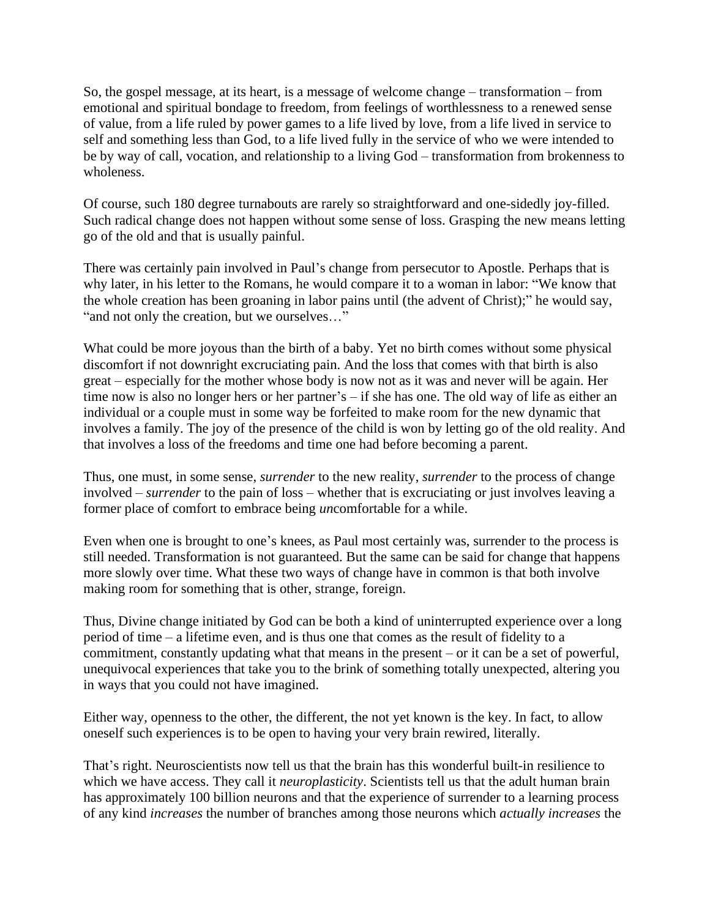So, the gospel message, at its heart, is a message of welcome change – transformation – from emotional and spiritual bondage to freedom, from feelings of worthlessness to a renewed sense of value, from a life ruled by power games to a life lived by love, from a life lived in service to self and something less than God, to a life lived fully in the service of who we were intended to be by way of call, vocation, and relationship to a living God – transformation from brokenness to wholeness.

Of course, such 180 degree turnabouts are rarely so straightforward and one-sidedly joy-filled. Such radical change does not happen without some sense of loss. Grasping the new means letting go of the old and that is usually painful.

There was certainly pain involved in Paul's change from persecutor to Apostle. Perhaps that is why later, in his letter to the Romans, he would compare it to a woman in labor: "We know that the whole creation has been groaning in labor pains until (the advent of Christ);" he would say, "and not only the creation, but we ourselves…"

What could be more joyous than the birth of a baby. Yet no birth comes without some physical discomfort if not downright excruciating pain. And the loss that comes with that birth is also great – especially for the mother whose body is now not as it was and never will be again. Her time now is also no longer hers or her partner's – if she has one. The old way of life as either an individual or a couple must in some way be forfeited to make room for the new dynamic that involves a family. The joy of the presence of the child is won by letting go of the old reality. And that involves a loss of the freedoms and time one had before becoming a parent.

Thus, one must, in some sense, *surrender* to the new reality, *surrender* to the process of change involved – *surrender* to the pain of loss – whether that is excruciating or just involves leaving a former place of comfort to embrace being *un*comfortable for a while.

Even when one is brought to one's knees, as Paul most certainly was, surrender to the process is still needed. Transformation is not guaranteed. But the same can be said for change that happens more slowly over time. What these two ways of change have in common is that both involve making room for something that is other, strange, foreign.

Thus, Divine change initiated by God can be both a kind of uninterrupted experience over a long period of time – a lifetime even, and is thus one that comes as the result of fidelity to a commitment, constantly updating what that means in the present – or it can be a set of powerful, unequivocal experiences that take you to the brink of something totally unexpected, altering you in ways that you could not have imagined.

Either way, openness to the other, the different, the not yet known is the key. In fact, to allow oneself such experiences is to be open to having your very brain rewired, literally.

That's right. Neuroscientists now tell us that the brain has this wonderful built-in resilience to which we have access. They call it *neuroplasticity*. Scientists tell us that the adult human brain has approximately 100 billion neurons and that the experience of surrender to a learning process of any kind *increases* the number of branches among those neurons which *actually increases* the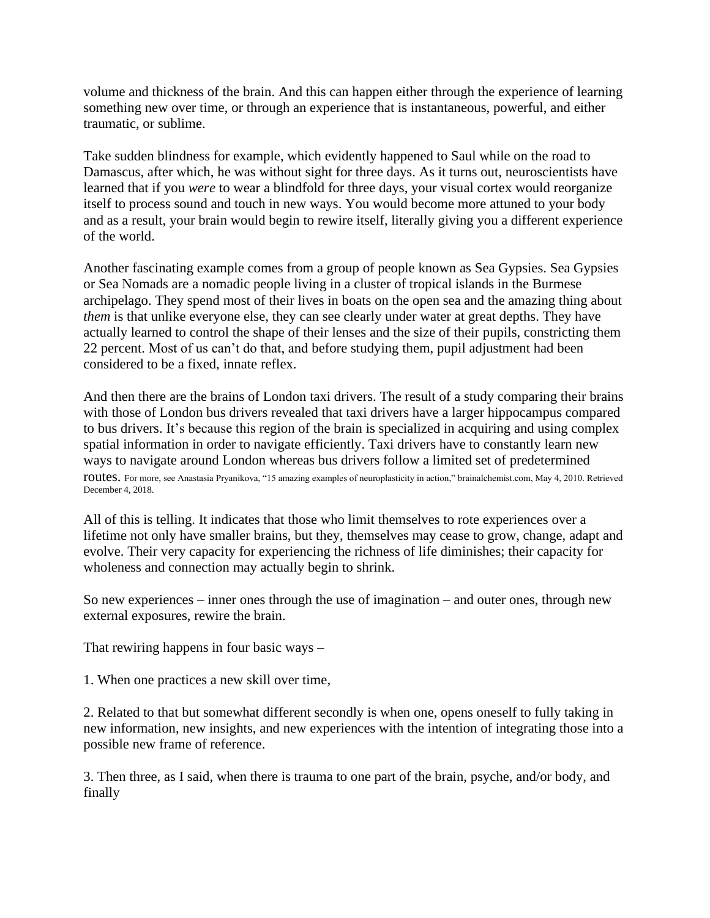volume and thickness of the brain. And this can happen either through the experience of learning something new over time, or through an experience that is instantaneous, powerful, and either traumatic, or sublime.

Take sudden blindness for example, which evidently happened to Saul while on the road to Damascus, after which, he was without sight for three days. As it turns out, neuroscientists have learned that if you *were* to wear a blindfold for three days, your visual cortex would reorganize itself to process sound and touch in new ways. You would become more attuned to your body and as a result, your brain would begin to rewire itself, literally giving you a different experience of the world.

Another fascinating example comes from a group of people known as Sea Gypsies. Sea Gypsies or Sea Nomads are a nomadic people living in a cluster of tropical islands in the Burmese archipelago. They spend most of their lives in boats on the open sea and the amazing thing about *them* is that unlike everyone else, they can see clearly under water at great depths. They have actually learned to control the shape of their lenses and the size of their pupils, constricting them 22 percent. Most of us can't do that, and before studying them, pupil adjustment had been considered to be a fixed, innate reflex.

And then there are the brains of London taxi drivers. The result of a study comparing their brains with those of London bus drivers revealed that taxi drivers have a larger hippocampus compared to bus drivers. It's because this region of the brain is specialized in acquiring and using complex spatial information in order to navigate efficiently. Taxi drivers have to constantly learn new ways to navigate around London whereas bus drivers follow a limited set of predetermined routes. For more, see Anastasia Pryanikova, "15 amazing examples of neuroplasticity in action," brainalchemist.com, May 4, 2010. Retrieved December 4, 2018.

All of this is telling. It indicates that those who limit themselves to rote experiences over a lifetime not only have smaller brains, but they, themselves may cease to grow, change, adapt and evolve. Their very capacity for experiencing the richness of life diminishes; their capacity for wholeness and connection may actually begin to shrink.

So new experiences – inner ones through the use of imagination – and outer ones, through new external exposures, rewire the brain.

That rewiring happens in four basic ways –

1. When one practices a new skill over time,

2. Related to that but somewhat different secondly is when one, opens oneself to fully taking in new information, new insights, and new experiences with the intention of integrating those into a possible new frame of reference.

3. Then three, as I said, when there is trauma to one part of the brain, psyche, and/or body, and finally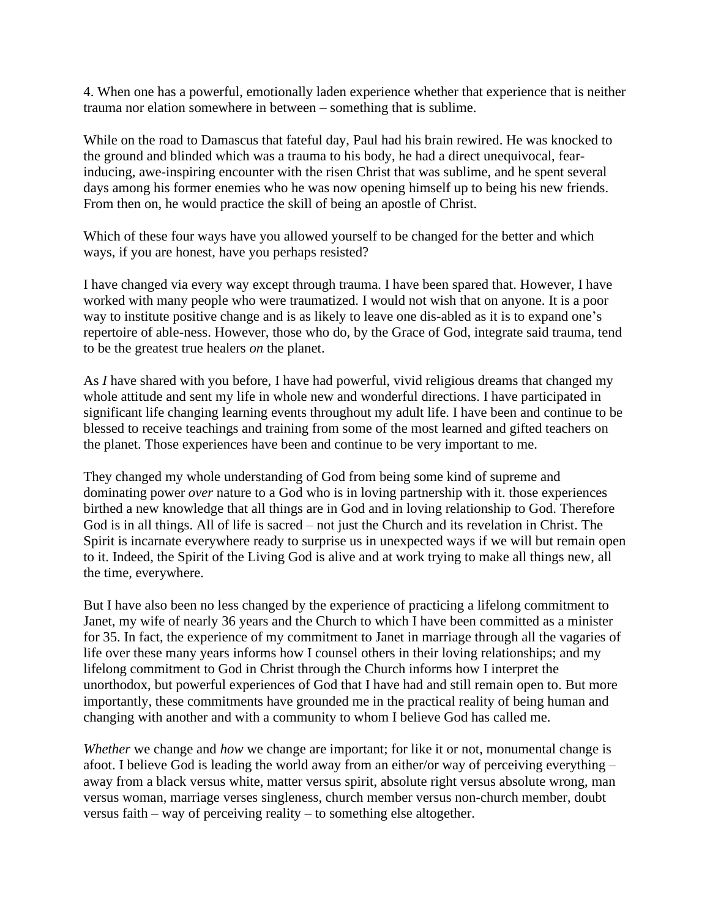4. When one has a powerful, emotionally laden experience whether that experience that is neither trauma nor elation somewhere in between – something that is sublime.

While on the road to Damascus that fateful day, Paul had his brain rewired. He was knocked to the ground and blinded which was a trauma to his body, he had a direct unequivocal, fearinducing, awe-inspiring encounter with the risen Christ that was sublime, and he spent several days among his former enemies who he was now opening himself up to being his new friends. From then on, he would practice the skill of being an apostle of Christ.

Which of these four ways have you allowed yourself to be changed for the better and which ways, if you are honest, have you perhaps resisted?

I have changed via every way except through trauma. I have been spared that. However, I have worked with many people who were traumatized. I would not wish that on anyone. It is a poor way to institute positive change and is as likely to leave one dis-abled as it is to expand one's repertoire of able-ness. However, those who do, by the Grace of God, integrate said trauma, tend to be the greatest true healers *on* the planet.

As *I* have shared with you before, I have had powerful, vivid religious dreams that changed my whole attitude and sent my life in whole new and wonderful directions. I have participated in significant life changing learning events throughout my adult life. I have been and continue to be blessed to receive teachings and training from some of the most learned and gifted teachers on the planet. Those experiences have been and continue to be very important to me.

They changed my whole understanding of God from being some kind of supreme and dominating power *over* nature to a God who is in loving partnership with it. those experiences birthed a new knowledge that all things are in God and in loving relationship to God. Therefore God is in all things. All of life is sacred – not just the Church and its revelation in Christ. The Spirit is incarnate everywhere ready to surprise us in unexpected ways if we will but remain open to it. Indeed, the Spirit of the Living God is alive and at work trying to make all things new, all the time, everywhere.

But I have also been no less changed by the experience of practicing a lifelong commitment to Janet, my wife of nearly 36 years and the Church to which I have been committed as a minister for 35. In fact, the experience of my commitment to Janet in marriage through all the vagaries of life over these many years informs how I counsel others in their loving relationships; and my lifelong commitment to God in Christ through the Church informs how I interpret the unorthodox, but powerful experiences of God that I have had and still remain open to. But more importantly, these commitments have grounded me in the practical reality of being human and changing with another and with a community to whom I believe God has called me.

*Whether* we change and *how* we change are important; for like it or not, monumental change is afoot. I believe God is leading the world away from an either/or way of perceiving everything – away from a black versus white, matter versus spirit, absolute right versus absolute wrong, man versus woman, marriage verses singleness, church member versus non-church member, doubt versus faith – way of perceiving reality – to something else altogether.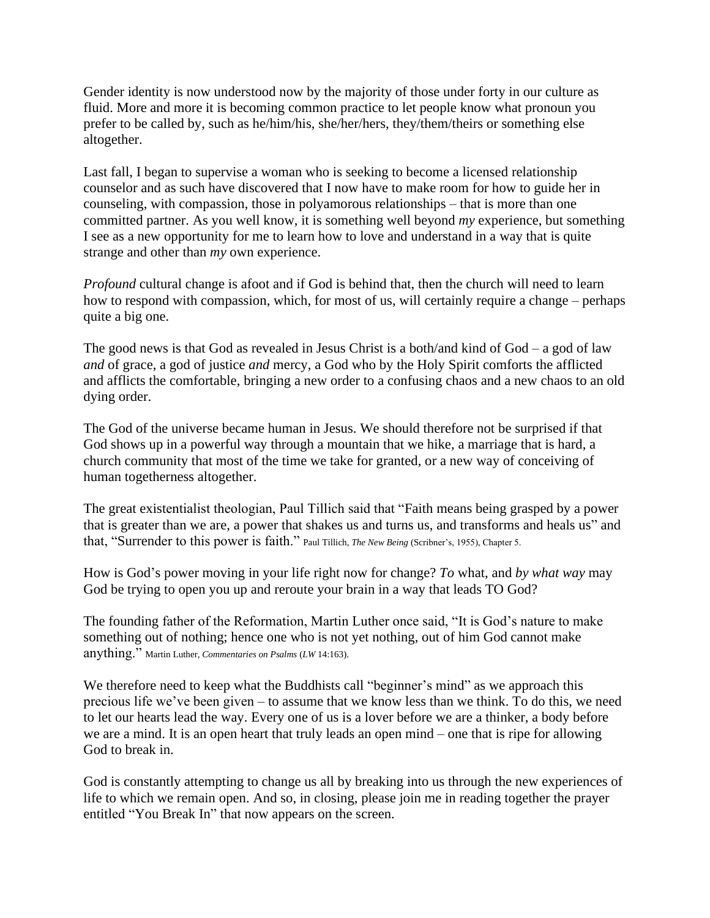Gender identity is now understood now by the majority of those under forty in our culture as fluid. More and more it is becoming common practice to let people know what pronoun you prefer to be called by, such as he/him/his, she/her/hers, they/them/theirs or something else altogether.

Last fall, I began to supervise a woman who is seeking to become a licensed relationship counselor and as such have discovered that I now have to make room for how to guide her in counseling, with compassion, those in polyamorous relationships – that is more than one committed partner. As you well know, it is something well beyond *my* experience, but something I see as a new opportunity for me to learn how to love and understand in a way that is quite strange and other than *my* own experience.

*Profound* cultural change is afoot and if God is behind that, then the church will need to learn how to respond with compassion, which, for most of us, will certainly require a change – perhaps quite a big one.

The good news is that God as revealed in Jesus Christ is a both/and kind of  $God - a$  god of law *and* of grace, a god of justice *and* mercy, a God who by the Holy Spirit comforts the afflicted and afflicts the comfortable, bringing a new order to a confusing chaos and a new chaos to an old dying order.

The God of the universe became human in Jesus. We should therefore not be surprised if that God shows up in a powerful way through a mountain that we hike, a marriage that is hard, a church community that most of the time we take for granted, or a new way of conceiving of human togetherness altogether.

The great existentialist theologian, Paul Tillich said that "Faith means being grasped by a power that is greater than we are, a power that shakes us and turns us, and transforms and heals us" and that, "Surrender to this power is faith." Paul Tillich, *The New Being* (Scribner's, 1955), Chapter 5.

How is God's power moving in your life right now for change? *To* what, and *by what way* may God be trying to open you up and reroute your brain in a way that leads TO God?

The founding father of the Reformation, Martin Luther once said, "It is God's nature to make something out of nothing; hence one who is not yet nothing, out of him God cannot make anything." Martin Luther, *Commentaries on Psalms* (*LW* 14:163).

We therefore need to keep what the Buddhists call "beginner's mind" as we approach this precious life we've been given – to assume that we know less than we think. To do this, we need to let our hearts lead the way. Every one of us is a lover before we are a thinker, a body before we are a mind. It is an open heart that truly leads an open mind – one that is ripe for allowing God to break in.

God is constantly attempting to change us all by breaking into us through the new experiences of life to which we remain open. And so, in closing, please join me in reading together the prayer entitled "You Break In" that now appears on the screen.